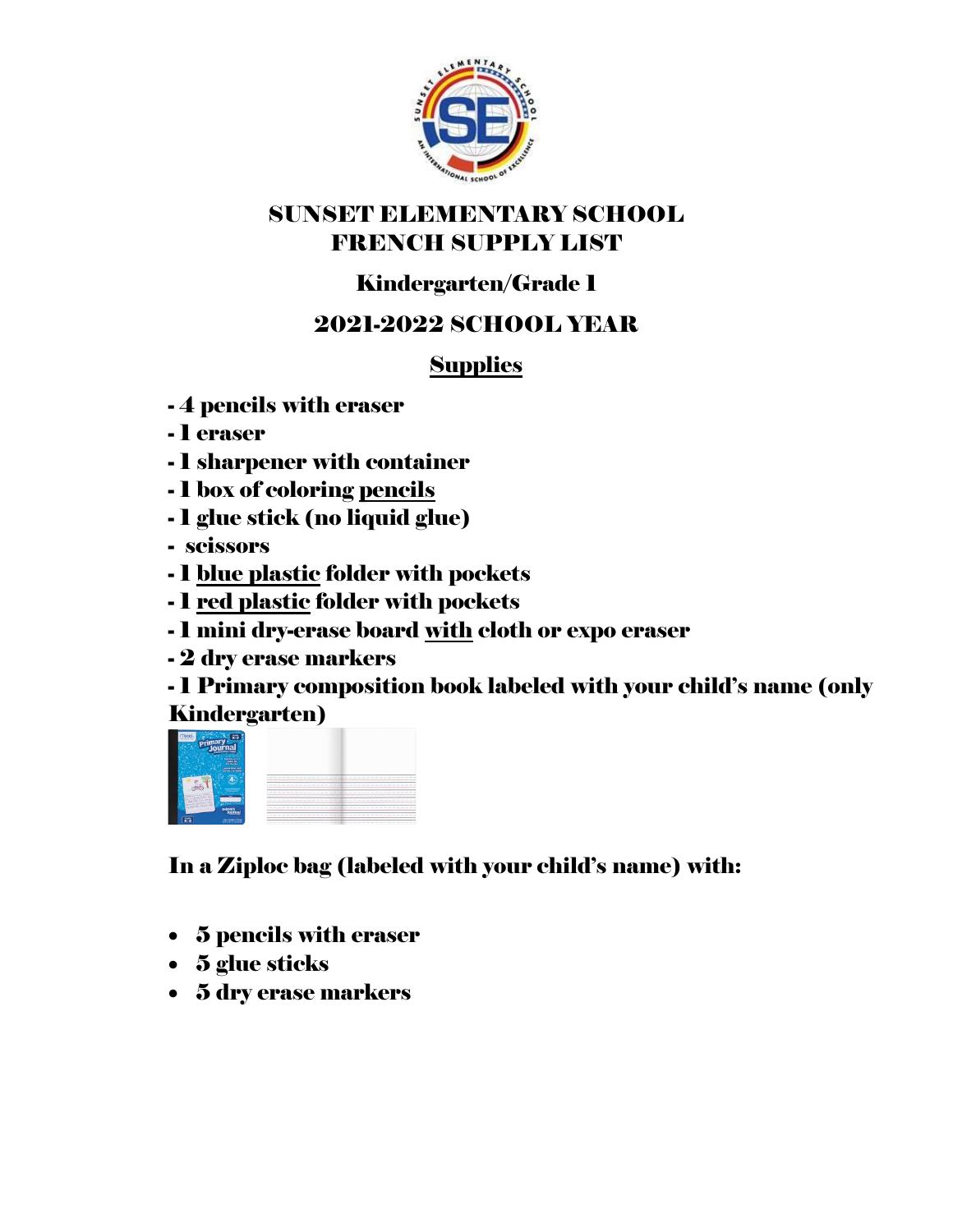

#### SUNSET ELEMENTARY SCHOOL FRENCH SUPPLY LIST

# Kindergarten/Grade 1

## 2021-2022 SCHOOL YEAR

### **Supplies**

- 4 pencils with eraser
- 1 eraser
- 1 sharpener with container
- 1 box of coloring pencils
- 1 glue stick (no liquid glue)
- scissors
- 1 blue plastic folder with pockets
- 1 red plastic folder with pockets
- 1 mini dry-erase board with cloth or expo eraser
- 2 dry erase markers

- 1 Primary composition book labeled with your child's name (only Kindergarten)



In a Ziploc bag (labeled with your child's name) with:

- 5 pencils with eraser
- 5 glue sticks
- 5 dry erase markers